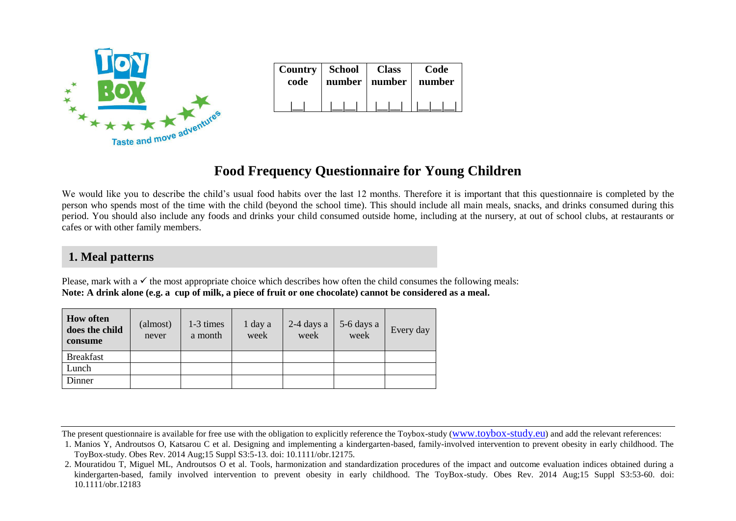

| Country   School | number | <b>Class</b> | Code   |
|------------------|--------|--------------|--------|
| code             |        | number       | number |
|                  |        |              |        |

# **Food Frequency Questionnaire for Young Children**

We would like you to describe the child's usual food habits over the last 12 months. Therefore it is important that this questionnaire is completed by the person who spends most of the time with the child (beyond the school time). This should include all main meals, snacks, and drinks consumed during this period. You should also include any foods and drinks your child consumed outside home, including at the nursery, at out of school clubs, at restaurants or cafes or with other family members.

## **1. Meal patterns**

Please, mark with a  $\checkmark$  the most appropriate choice which describes how often the child consumes the following meals: **Note: A drink alone (e.g. a cup of milk, a piece of fruit or one chocolate) cannot be considered as a meal.**

| <b>How often</b><br>does the child<br>consume | (almost)<br>never | 1-3 times<br>a month | 1 day a<br>week | $2-4$ days a<br>week | 5-6 days a<br>week | Every day |
|-----------------------------------------------|-------------------|----------------------|-----------------|----------------------|--------------------|-----------|
| <b>Breakfast</b>                              |                   |                      |                 |                      |                    |           |
| Lunch                                         |                   |                      |                 |                      |                    |           |
| Dinner                                        |                   |                      |                 |                      |                    |           |

The present questionnaire is available for free use with the obligation to explicitly reference the Toybox-study (www.toybox-study.eu) and add the relevant references:

<sup>1.</sup> Manios Y, Androutsos O, Katsarou C et al. Designing and implementing a kindergarten-based, family-involved intervention to prevent obesity in early childhood. The ToyBox-study. Obes Rev. 2014 Aug;15 Suppl S3:5-13. doi: 10.1111/obr.12175.

<sup>2.</sup> Mouratidou T, Miguel ML, Androutsos O et al. Tools, harmonization and standardization procedures of the impact and outcome evaluation indices obtained during a kindergarten-based, family involved intervention to prevent obesity in early childhood. The ToyBox-study. Obes Rev. 2014 Aug;15 Suppl S3:53-60. doi: 10.1111/obr.12183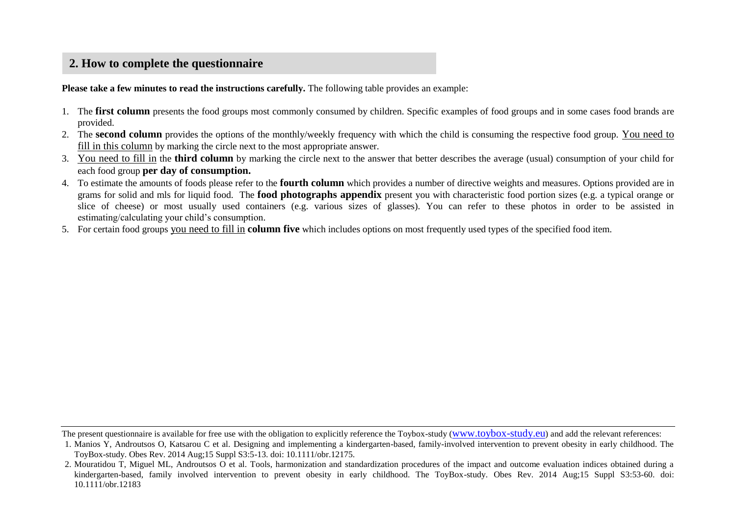## **2. How to complete the questionnaire**

**Please take a few minutes to read the instructions carefully.** The following table provides an example:

- 1. The **first column** presents the food groups most commonly consumed by children. Specific examples of food groups and in some cases food brands are provided.
- 2. The **second column** provides the options of the monthly/weekly frequency with which the child is consuming the respective food group. You need to fill in this column by marking the circle next to the most appropriate answer.
- 3. You need to fill in the **third column** by marking the circle next to the answer that better describes the average (usual) consumption of your child for each food group **per day of consumption.**
- 4. To estimate the amounts of foods please refer to the **fourth column** which provides a number of directive weights and measures. Options provided are in grams for solid and mls for liquid food. The **food photographs appendix** present you with characteristic food portion sizes (e.g. a typical orange or slice of cheese) or most usually used containers (e.g. various sizes of glasses). You can refer to these photos in order to be assisted in estimating/calculating your child's consumption.
- 5. For certain food groups you need to fill in **column five** which includes options on most frequently used types of the specified food item.

The present questionnaire is available for free use with the obligation to explicitly reference the Toybox-study (www.toybox-study.eu) and add the relevant references:

<sup>1.</sup> Manios Y, Androutsos O, Katsarou C et al. Designing and implementing a kindergarten-based, family-involved intervention to prevent obesity in early childhood. The ToyBox-study. Obes Rev. 2014 Aug;15 Suppl S3:5-13. doi: 10.1111/obr.12175.

<sup>2.</sup> Mouratidou T, Miguel ML, Androutsos O et al. Tools, harmonization and standardization procedures of the impact and outcome evaluation indices obtained during a kindergarten-based, family involved intervention to prevent obesity in early childhood. The ToyBox-study. Obes Rev. 2014 Aug;15 Suppl S3:53-60. doi: 10.1111/obr.12183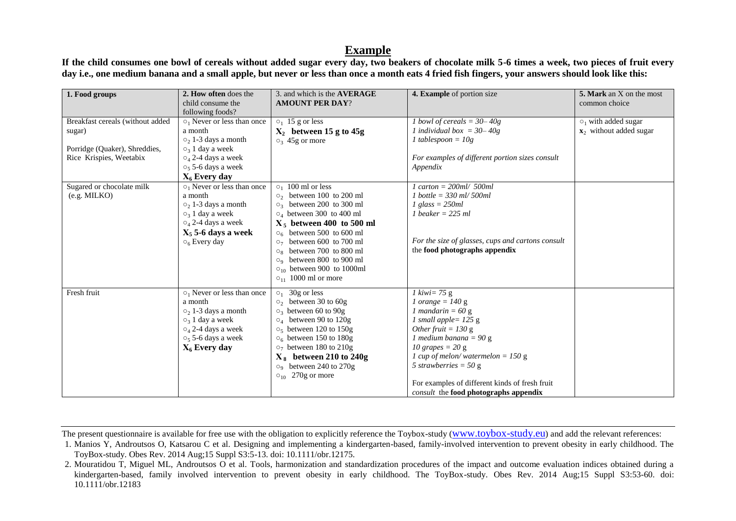### **Example**

**If the child consumes one bowl of cereals without added sugar every day, two beakers of chocolate milk 5-6 times a week, two pieces of fruit every day i.e., one medium banana and a small apple, but never or less than once a month eats 4 fried fish fingers, your answers should look like this:**

| 1. Food groups                                                                                         | 2. How often does the<br>child consume the<br>following foods?                                                                                                                                                                        | 3. and which is the <b>AVERAGE</b><br><b>AMOUNT PER DAY?</b>                                                                                                                                                                                                                                                                                                                                                                        | 4. Example of portion size                                                                                                                                                                                                                                                                                                                                                           | 5. Mark an X on the most<br>common choice                        |
|--------------------------------------------------------------------------------------------------------|---------------------------------------------------------------------------------------------------------------------------------------------------------------------------------------------------------------------------------------|-------------------------------------------------------------------------------------------------------------------------------------------------------------------------------------------------------------------------------------------------------------------------------------------------------------------------------------------------------------------------------------------------------------------------------------|--------------------------------------------------------------------------------------------------------------------------------------------------------------------------------------------------------------------------------------------------------------------------------------------------------------------------------------------------------------------------------------|------------------------------------------------------------------|
| Breakfast cereals (without added<br>sugar)<br>Porridge (Quaker), Shreddies,<br>Rice Krispies, Weetabix | $\circ_1$ Never or less than once<br>a month<br>$\circ_2$ 1-3 days a month<br>$\circ_3$ 1 day a week<br>$\circ$ <sub>4</sub> 2-4 days a week<br>$\circ$ <sub>5</sub> 5-6 days a week                                                  | $\circ_1$ 15 g or less<br>$X_2$ between 15 g to 45g<br>$\circ_3$ 45g or more                                                                                                                                                                                                                                                                                                                                                        | 1 bowl of cereals = $30-40g$<br>1 individual box = $30-40g$<br>$1$ tablespoon = $10g$<br>For examples of different portion sizes consult<br>Appendix                                                                                                                                                                                                                                 | $\circ_1$ with added sugar<br>$\mathbf{x}_2$ without added sugar |
| Sugared or chocolate milk<br>$(e.g. \text{MILKO})$                                                     | $X_6$ Every day<br>$\circ_1$ Never or less than once<br>a month<br>$\circ_2$ 1-3 days a month<br>$\circ$ <sub>3</sub> 1 day a week<br>$\circ$ <sub>4</sub> 2-4 days a week<br>$X_5$ 5-6 days a week<br>$\circ$ <sub>6</sub> Every day | $\circ_1$ 100 ml or less<br>$\circ$ <sub>200</sub> ml $\circ$ <sub>200</sub> ml<br>$\circ_3$ between 200 to 300 ml<br>$\circ_4$ between 300 to 400 ml<br>$X_5$ between 400 to 500 ml<br>$\circ$ <sub>6</sub> between 500 to 600 ml<br>$\circ$ <sub>7</sub> between 600 to 700 ml<br>$\circ_8$ between 700 to 800 ml<br>$\circ$ <sub>9</sub> between 800 to 900 ml<br>$\circ_{10}$ between 900 to 1000ml<br>$O_{11}$ 1000 ml or more | $1 \text{ cart} = 200 \text{ml} / 500 \text{ml}$<br>$1$ bottle = 330 ml/ 500ml<br>$1$ glass = $250ml$<br>$1$ beaker = 225 ml<br>For the size of glasses, cups and cartons consult<br>the food photographs appendix                                                                                                                                                                   |                                                                  |
| Fresh fruit                                                                                            | $\circ_1$ Never or less than once<br>a month<br>$\circ$ <sub>2</sub> 1-3 days a month<br>$\circ$ <sub>3</sub> 1 day a week<br>$\circ$ <sub>4</sub> 2-4 days a week<br>$\circ$ <sub>5</sub> 5-6 days a week<br>$X_6$ Every day         | $\circ_1$ 30g or less<br>$\circ_2$ between 30 to 60g<br>$\circ$ <sub>3</sub> between 60 to 90g<br>$\circ_4$ between 90 to 120g<br>$\circ$ <sub>5</sub> between 120 to 150g<br>$\circ$ <sub>6</sub> between 150 to 180g<br>$\circ$ <sub>7</sub> between 180 to 210g<br>$X_8$ between 210 to 240g<br>$\circ$ <sub>9</sub> between 240 to 270g<br>$\circ$ <sub>10</sub> 270g or more                                                   | $1 \text{ kiwi} = 75 \text{ g}$<br>$1 \text{ orange} = 140 \text{ g}$<br>$1$ mandarin = 60 g<br>1 small apple= $125 g$<br>Other fruit = $130 g$<br>1 medium banana = $90 g$<br>10 grapes $= 20$ g<br>1 cup of melon/watermelon = $150 g$<br>5 strawberries = $50 \text{ g}$<br>For examples of different kinds of fresh fruit<br><i>consult</i> the <b>food photographs appendix</b> |                                                                  |

The present questionnaire is available for free use with the obligation to explicitly reference the Toybox-study (www.toybox-study.eu) and add the relevant references:

<sup>1.</sup> Manios Y, Androutsos O, Katsarou C et al. Designing and implementing a kindergarten-based, family-involved intervention to prevent obesity in early childhood. The ToyBox-study. Obes Rev. 2014 Aug;15 Suppl S3:5-13. doi: 10.1111/obr.12175.

<sup>2.</sup> Mouratidou T, Miguel ML, Androutsos O et al. Tools, harmonization and standardization procedures of the impact and outcome evaluation indices obtained during a kindergarten-based, family involved intervention to prevent obesity in early childhood. The ToyBox-study. Obes Rev. 2014 Aug;15 Suppl S3:53-60. doi: 10.1111/obr.12183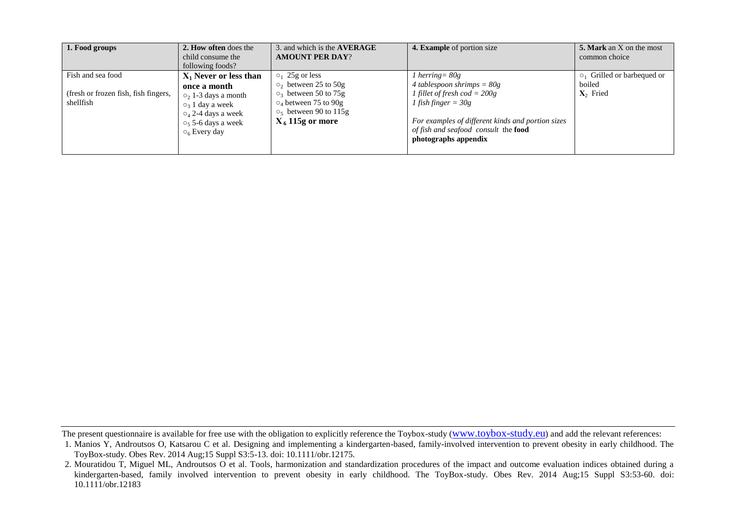| 1. Food groups                                                         | 2. How often does the<br>child consume the<br>following foods?                                                                                                                                                            | 3. and which is the <b>AVERAGE</b><br><b>AMOUNT PER DAY?</b>                                                                                                                                                         | 4. Example of portion size                                                                                                                                                                                                             | <b>5. Mark</b> an X on the most<br>common choice         |
|------------------------------------------------------------------------|---------------------------------------------------------------------------------------------------------------------------------------------------------------------------------------------------------------------------|----------------------------------------------------------------------------------------------------------------------------------------------------------------------------------------------------------------------|----------------------------------------------------------------------------------------------------------------------------------------------------------------------------------------------------------------------------------------|----------------------------------------------------------|
| Fish and sea food<br>(fresh or frozen fish, fish fingers,<br>shellfish | $X_1$ Never or less than<br>once a month<br>$\circ$ <sub>2</sub> 1-3 days a month<br>$\circ$ <sub>3</sub> 1 day a week<br>$O_4$ 2-4 days a week<br>$\circ$ <sub>5</sub> 5-6 days a week<br>$\circ$ <sub>6</sub> Every day | $\circ_1$ 25g or less<br>$\circ$ <sub>2</sub> between 25 to 50g<br>$\circ$ <sub>3</sub> between 50 to 75g<br>$\circ$ <sub>4</sub> between 75 to 90g<br>$\circ$ <sub>5</sub> between 90 to 115g<br>$X_6$ 115g or more | l herring = $80g$<br>4 tablespoon shrimps = $80g$<br>1 fillet of fresh $cod = 200g$<br>l fish finger = 30g<br>For examples of different kinds and portion sizes<br>of fish and seafood consult the <b>food</b><br>photographs appendix | $\circ$ Grilled or barbequed or<br>boiled<br>$X_2$ Fried |

The present questionnaire is available for free use with the obligation to explicitly reference the Toybox-study (www.toybox-study.eu) and add the relevant references:

<sup>1.</sup> Manios Y, Androutsos O, Katsarou C et al. Designing and implementing a kindergarten-based, family-involved intervention to prevent obesity in early childhood. The ToyBox-study. Obes Rev. 2014 Aug;15 Suppl S3:5-13. doi: 10.1111/obr.12175.

<sup>2.</sup> Mouratidou T, Miguel ML, Androutsos O et al. Tools, harmonization and standardization procedures of the impact and outcome evaluation indices obtained during a kindergarten-based, family involved intervention to prevent obesity in early childhood. The ToyBox-study. Obes Rev. 2014 Aug;15 Suppl S3:53-60. doi: 10.1111/obr.12183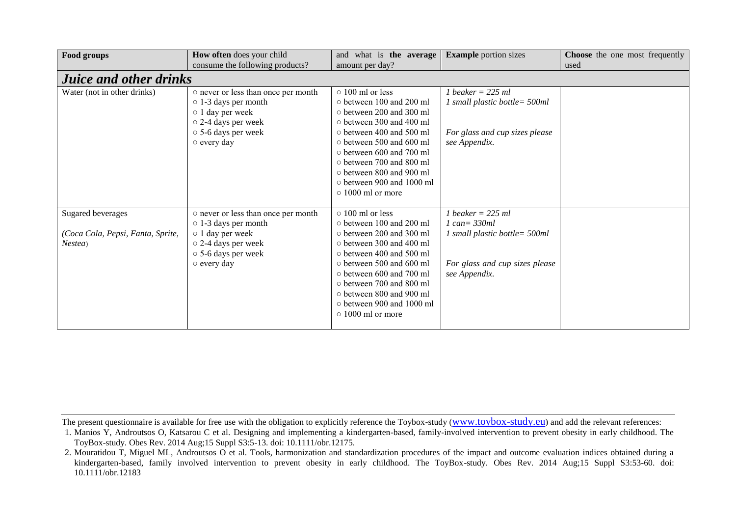| Food groups                                                       | How often does your child                                                                                                                                      | and what is the average                                                                                                                                                                                                                                                                                                                      | <b>Example portion sizes</b>                                                                                               | <b>Choose</b> the one most frequently |  |
|-------------------------------------------------------------------|----------------------------------------------------------------------------------------------------------------------------------------------------------------|----------------------------------------------------------------------------------------------------------------------------------------------------------------------------------------------------------------------------------------------------------------------------------------------------------------------------------------------|----------------------------------------------------------------------------------------------------------------------------|---------------------------------------|--|
|                                                                   | consume the following products?                                                                                                                                | amount per day?                                                                                                                                                                                                                                                                                                                              |                                                                                                                            | used                                  |  |
| <b>Juice and other drinks</b>                                     |                                                                                                                                                                |                                                                                                                                                                                                                                                                                                                                              |                                                                                                                            |                                       |  |
| Water (not in other drinks)                                       | o never or less than once per month<br>$\circ$ 1-3 days per month<br>$\circ$ 1 day per week<br>o 2-4 days per week<br>○ 5-6 days per week<br>o every day       | $\circ$ 100 ml or less<br>$\circ$ between 100 and 200 ml<br>o between 200 and 300 ml<br>o between 300 and 400 ml<br>o between 400 and 500 ml<br>$\circ$ between 500 and 600 ml<br>$\circ$ between 600 and 700 ml<br>$\circ$ between 700 and 800 ml<br>o between 800 and 900 ml<br>$\circ$ between 900 and 1000 ml<br>$\circ$ 1000 ml or more | $1$ beaker = 225 ml<br>1 small plastic bottle= 500ml<br>For glass and cup sizes please<br>see Appendix.                    |                                       |  |
| Sugared beverages<br>(Coca Cola, Pepsi, Fanta, Sprite,<br>Nestea) | o never or less than once per month<br>$\circ$ 1-3 days per month<br>$\circ$ 1 day per week<br>o 2-4 days per week<br>$\circ$ 5-6 days per week<br>o every day | $\circ$ 100 ml or less<br>o between 100 and 200 ml<br>o between 200 and 300 ml<br>o between 300 and 400 ml<br>$\circ$ between 400 and 500 ml<br>o between 500 and 600 ml<br>$\circ$ between 600 and 700 ml<br>o between 700 and 800 ml<br>o between 800 and 900 ml<br>o between 900 and 1000 ml<br>$\circ$ 1000 ml or more                   | $1$ beaker = 225 ml<br>$1 can = 330ml$<br>1 small plastic bottle= 500ml<br>For glass and cup sizes please<br>see Appendix. |                                       |  |

<sup>1.</sup> Manios Y, Androutsos O, Katsarou C et al. Designing and implementing a kindergarten-based, family-involved intervention to prevent obesity in early childhood. The ToyBox-study. Obes Rev. 2014 Aug;15 Suppl S3:5-13. doi: 10.1111/obr.12175.

<sup>2.</sup> Mouratidou T, Miguel ML, Androutsos O et al. Tools, harmonization and standardization procedures of the impact and outcome evaluation indices obtained during a kindergarten-based, family involved intervention to prevent obesity in early childhood. The ToyBox-study. Obes Rev. 2014 Aug;15 Suppl S3:53-60. doi: 10.1111/obr.12183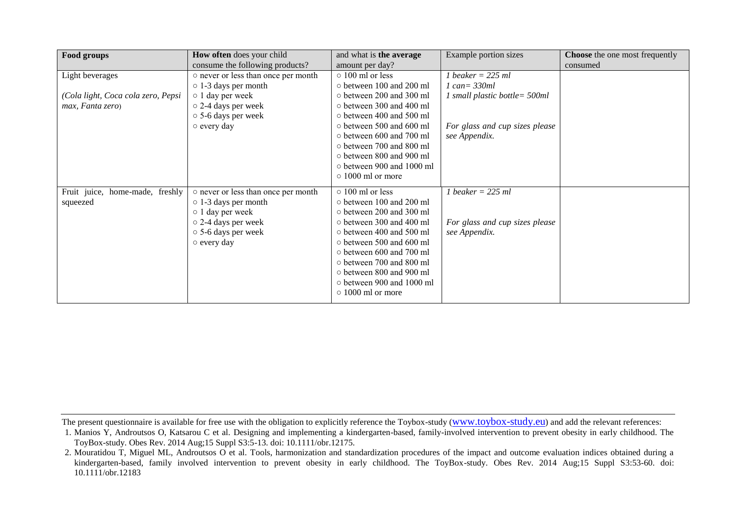| How often does your child           | and what is the average         | Example portion sizes                                                                                                                                                            | <b>Choose</b> the one most frequently           |
|-------------------------------------|---------------------------------|----------------------------------------------------------------------------------------------------------------------------------------------------------------------------------|-------------------------------------------------|
| consume the following products?     | amount per day?                 |                                                                                                                                                                                  | consumed                                        |
| o never or less than once per month | $\circ$ 100 ml or less          | 1 beaker = $225$ ml                                                                                                                                                              |                                                 |
| $\circ$ 1-3 days per month          | $\circ$ between 100 and 200 ml  | $1 \text{ can} = 330 \text{ml}$                                                                                                                                                  |                                                 |
| $\circ$ 1 day per week              |                                 | 1 small plastic bottle = $500ml$                                                                                                                                                 |                                                 |
| $\circ$ 2-4 days per week           |                                 |                                                                                                                                                                                  |                                                 |
| $\circ$ 5-6 days per week           | $\circ$ between 400 and 500 ml  |                                                                                                                                                                                  |                                                 |
| $\circ$ every day                   | $\circ$ between 500 and 600 ml  |                                                                                                                                                                                  |                                                 |
|                                     | $\circ$ between 600 and 700 ml  |                                                                                                                                                                                  |                                                 |
|                                     |                                 |                                                                                                                                                                                  |                                                 |
|                                     |                                 |                                                                                                                                                                                  |                                                 |
|                                     |                                 |                                                                                                                                                                                  |                                                 |
|                                     |                                 |                                                                                                                                                                                  |                                                 |
| o never or less than once per month | $\circ$ 100 ml or less          | 1 beaker = $225$ ml                                                                                                                                                              |                                                 |
| $\circ$ 1-3 days per month          | $\circ$ between 100 and 200 ml  |                                                                                                                                                                                  |                                                 |
| $\circ$ 1 day per week              | o between 200 and 300 ml        |                                                                                                                                                                                  |                                                 |
| o 2-4 days per week                 | o between 300 and 400 ml        | For glass and cup sizes please                                                                                                                                                   |                                                 |
| ○ 5-6 days per week                 | $\circ$ between 400 and 500 ml  | see Appendix.                                                                                                                                                                    |                                                 |
| $\circ$ every day                   | $\circ$ between 500 and 600 ml  |                                                                                                                                                                                  |                                                 |
|                                     | $\circ$ between 600 and 700 ml  |                                                                                                                                                                                  |                                                 |
|                                     | o between 700 and 800 ml        |                                                                                                                                                                                  |                                                 |
|                                     | o between 800 and 900 ml        |                                                                                                                                                                                  |                                                 |
|                                     | $\circ$ between 900 and 1000 ml |                                                                                                                                                                                  |                                                 |
|                                     | $\circ$ 1000 ml or more         |                                                                                                                                                                                  |                                                 |
|                                     |                                 | o between 200 and 300 ml<br>o between 300 and 400 ml<br>$\circ$ between 700 and 800 ml<br>o between 800 and 900 ml<br>$\circ$ between 900 and 1000 ml<br>$\circ$ 1000 ml or more | For glass and cup sizes please<br>see Appendix. |

<sup>1.</sup> Manios Y, Androutsos O, Katsarou C et al. Designing and implementing a kindergarten-based, family-involved intervention to prevent obesity in early childhood. The ToyBox-study. Obes Rev. 2014 Aug;15 Suppl S3:5-13. doi: 10.1111/obr.12175.

<sup>2.</sup> Mouratidou T, Miguel ML, Androutsos O et al. Tools, harmonization and standardization procedures of the impact and outcome evaluation indices obtained during a kindergarten-based, family involved intervention to prevent obesity in early childhood. The ToyBox-study. Obes Rev. 2014 Aug;15 Suppl S3:53-60. doi: 10.1111/obr.12183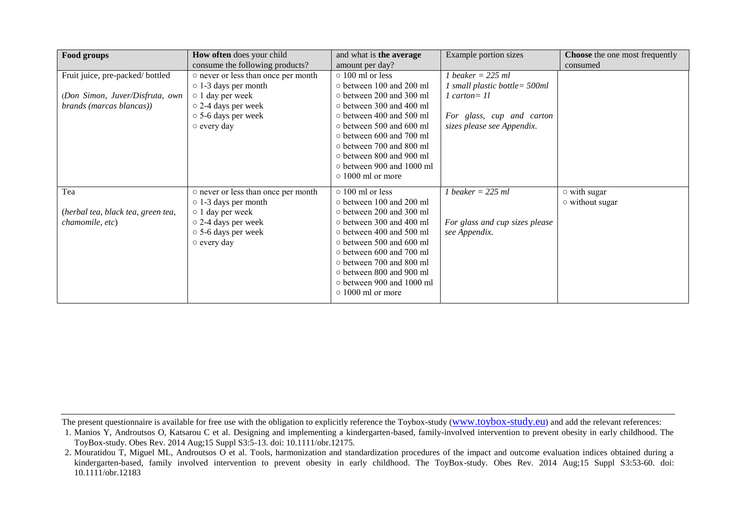| Food groups                        | How often does your child           | and what is the average         | Example portion sizes            | <b>Choose</b> the one most frequently |
|------------------------------------|-------------------------------------|---------------------------------|----------------------------------|---------------------------------------|
|                                    | consume the following products?     | amount per day?                 |                                  | consumed                              |
| Fruit juice, pre-packed/bottled    | o never or less than once per month | $\circ$ 100 ml or less          | 1 beaker = $225$ ml              |                                       |
|                                    | $\circ$ 1-3 days per month          | o between 100 and 200 ml        | 1 small plastic bottle = $500ml$ |                                       |
| (Don Simon, Juver/Disfruta, own    | $\circ$ 1 day per week              | $\circ$ between 200 and 300 ml  | $1$ carton= $11$                 |                                       |
| brands (marcas blancas))           | $\circ$ 2-4 days per week           | o between 300 and 400 ml        |                                  |                                       |
|                                    | $\circ$ 5-6 days per week           | $\circ$ between 400 and 500 ml  | For glass, cup and carton        |                                       |
|                                    | $\circ$ every day                   | $\circ$ between 500 and 600 ml  | sizes please see Appendix.       |                                       |
|                                    |                                     | o between 600 and 700 ml        |                                  |                                       |
|                                    |                                     | ○ between 700 and 800 ml        |                                  |                                       |
|                                    |                                     | o between 800 and 900 ml        |                                  |                                       |
|                                    |                                     | o between 900 and 1000 ml       |                                  |                                       |
|                                    |                                     | $\circ$ 1000 ml or more         |                                  |                                       |
| Tea                                | o never or less than once per month | $\circ$ 100 ml or less          | $1$ beaker = 225 ml              | $\circ$ with sugar                    |
|                                    | $\circ$ 1-3 days per month          | $\circ$ between 100 and 200 ml  |                                  | $\circ$ without sugar                 |
| (herbal tea, black tea, green tea, | o 1 day per week                    | ○ between 200 and 300 ml        |                                  |                                       |
| chamomile, etc)                    | o 2-4 days per week                 | $\circ$ between 300 and 400 ml  | For glass and cup sizes please   |                                       |
|                                    | $\circ$ 5-6 days per week           | o between 400 and 500 ml        | see Appendix.                    |                                       |
|                                    | $\circ$ every day                   | $\circ$ between 500 and 600 ml  |                                  |                                       |
|                                    |                                     | o between 600 and 700 ml        |                                  |                                       |
|                                    |                                     | o between 700 and 800 ml        |                                  |                                       |
|                                    |                                     | $\circ$ between 800 and 900 ml  |                                  |                                       |
|                                    |                                     | $\circ$ between 900 and 1000 ml |                                  |                                       |
|                                    |                                     | $\circ$ 1000 ml or more         |                                  |                                       |
|                                    |                                     |                                 |                                  |                                       |

<sup>1.</sup> Manios Y, Androutsos O, Katsarou C et al. Designing and implementing a kindergarten-based, family-involved intervention to prevent obesity in early childhood. The ToyBox-study. Obes Rev. 2014 Aug;15 Suppl S3:5-13. doi: 10.1111/obr.12175.

<sup>2.</sup> Mouratidou T, Miguel ML, Androutsos O et al. Tools, harmonization and standardization procedures of the impact and outcome evaluation indices obtained during a kindergarten-based, family involved intervention to prevent obesity in early childhood. The ToyBox-study. Obes Rev. 2014 Aug;15 Suppl S3:53-60. doi: 10.1111/obr.12183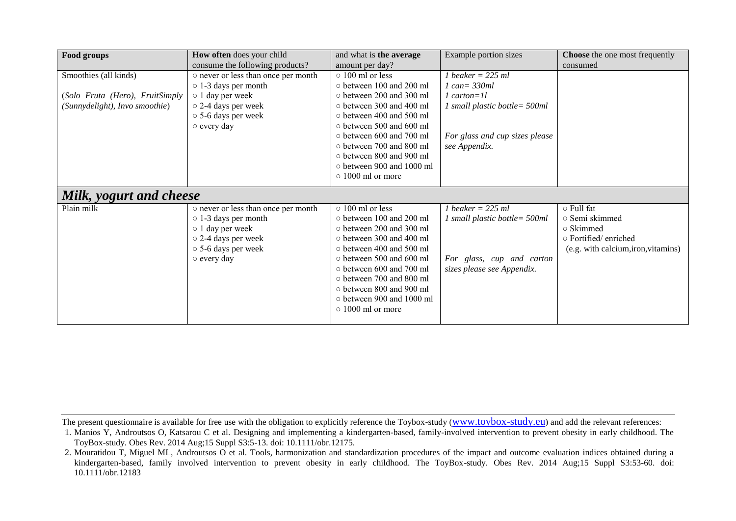| Food groups                     | How often does your child           | and what is the average         | Example portion sizes            | Choose the one most frequently      |
|---------------------------------|-------------------------------------|---------------------------------|----------------------------------|-------------------------------------|
|                                 | consume the following products?     | amount per day?                 |                                  | consumed                            |
| Smoothies (all kinds)           | o never or less than once per month | $\circ$ 100 ml or less          | 1 beaker = $225$ ml              |                                     |
|                                 | $\circ$ 1-3 days per month          | o between 100 and 200 ml        | $1 can = 330ml$                  |                                     |
| (Solo Fruta (Hero), FruitSimply | o 1 day per week                    | $\circ$ between 200 and 300 ml  | $1$ carton= $11$                 |                                     |
| (Sunnydelight), Invo smoothie)  | $\circ$ 2-4 days per week           | o between 300 and 400 ml        | 1 small plastic bottle = $500ml$ |                                     |
|                                 | $\circ$ 5-6 days per week           | $\circ$ between 400 and 500 ml  |                                  |                                     |
|                                 | $\circ$ every day                   | o between 500 and 600 ml        |                                  |                                     |
|                                 |                                     | $\circ$ between 600 and 700 ml  | For glass and cup sizes please   |                                     |
|                                 |                                     | $\circ$ between 700 and 800 ml  | see Appendix.                    |                                     |
|                                 |                                     | $\circ$ between 800 and 900 ml  |                                  |                                     |
|                                 |                                     | $\circ$ between 900 and 1000 ml |                                  |                                     |
|                                 |                                     | $\circ$ 1000 ml or more         |                                  |                                     |
| Milk, yogurt and cheese         |                                     |                                 |                                  |                                     |
| Plain milk                      | o never or less than once per month | $\circ$ 100 ml or less          | $b$ eaker = 225 ml               | ○ Full fat                          |
|                                 | $\circ$ 1-3 days per month          | o between 100 and 200 ml        | 1 small plastic bottle= 500ml    | o Semi skimmed                      |
|                                 | $\circ$ 1 day per week              | o between 200 and 300 ml        |                                  | o Skimmed                           |
|                                 | $\circ$ 2-4 days per week           | o between 300 and 400 ml        |                                  | ○ Fortified/ enriched               |
|                                 | ○ 5-6 days per week                 | $\circ$ between 400 and 500 ml  |                                  | (e.g. with calcium, iron, vitamins) |
|                                 | $\circ$ every day                   | $\circ$ between 500 and 600 ml  | For glass, cup and carton        |                                     |
|                                 |                                     | $\circ$ between 600 and 700 ml  | sizes please see Appendix.       |                                     |
|                                 |                                     | $\circ$ between 700 and 800 ml  |                                  |                                     |
|                                 |                                     | o between 800 and 900 ml        |                                  |                                     |
|                                 |                                     | $\circ$ between 900 and 1000 ml |                                  |                                     |
|                                 |                                     | $\circ$ 1000 ml or more         |                                  |                                     |
|                                 |                                     |                                 |                                  |                                     |

<sup>1.</sup> Manios Y, Androutsos O, Katsarou C et al. Designing and implementing a kindergarten-based, family-involved intervention to prevent obesity in early childhood. The ToyBox-study. Obes Rev. 2014 Aug;15 Suppl S3:5-13. doi: 10.1111/obr.12175.

<sup>2.</sup> Mouratidou T, Miguel ML, Androutsos O et al. Tools, harmonization and standardization procedures of the impact and outcome evaluation indices obtained during a kindergarten-based, family involved intervention to prevent obesity in early childhood. The ToyBox-study. Obes Rev. 2014 Aug;15 Suppl S3:53-60. doi: 10.1111/obr.12183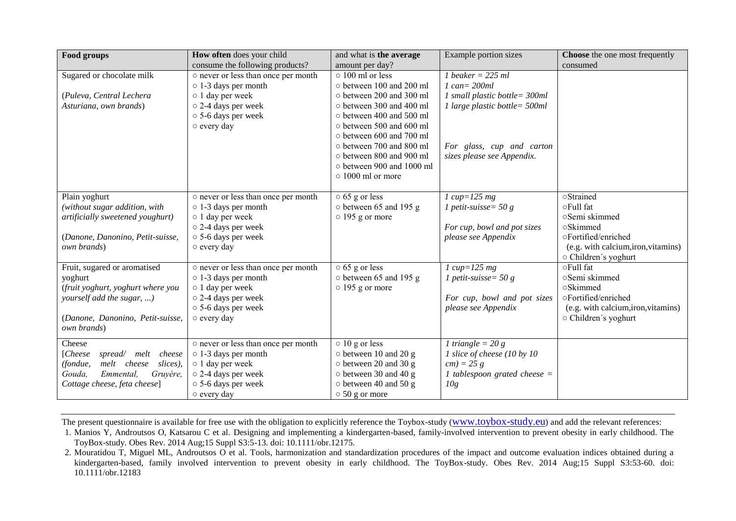| Food groups                                     | How often does your child           | and what is the average                               | Example portion sizes          | <b>Choose</b> the one most frequently |
|-------------------------------------------------|-------------------------------------|-------------------------------------------------------|--------------------------------|---------------------------------------|
|                                                 | consume the following products?     | amount per day?                                       |                                | consumed                              |
| Sugared or chocolate milk                       | o never or less than once per month | $\circ$ 100 ml or less                                | 1 beaker = $225$ ml            |                                       |
|                                                 | $\circ$ 1-3 days per month          | o between 100 and 200 ml                              | $1 can = 200ml$                |                                       |
| (Puleva, Central Lechera                        | o 1 day per week                    | o between 200 and 300 ml                              | 1 small plastic bottle= 300ml  |                                       |
| Asturiana, own brands)                          | o 2-4 days per week                 | o between 300 and 400 ml                              | 1 large plastic bottle= 500ml  |                                       |
|                                                 | $\circ$ 5-6 days per week           | o between 400 and 500 ml                              |                                |                                       |
|                                                 | o every day                         | o between 500 and 600 ml                              |                                |                                       |
|                                                 |                                     | o between 600 and 700 ml                              |                                |                                       |
|                                                 |                                     | o between 700 and 800 ml                              | For glass, cup and carton      |                                       |
|                                                 |                                     | o between 800 and 900 ml<br>o between 900 and 1000 ml | sizes please see Appendix.     |                                       |
|                                                 |                                     | $\circ$ 1000 ml or more                               |                                |                                       |
|                                                 |                                     |                                                       |                                |                                       |
| Plain yoghurt                                   | o never or less than once per month | $\circ$ 65 g or less                                  | $1 cup=125 mg$                 | oStrained                             |
| (without sugar addition, with                   | $\circ$ 1-3 days per month          | o between 65 and 195 g                                | 1 petit-suisse = $50 g$        | ○Full fat                             |
| artificially sweetened youghurt)                | $\circ$ 1 day per week              | $\circ$ 195 g or more                                 |                                | ○Semi skimmed                         |
|                                                 | o 2-4 days per week                 |                                                       | For cup, bowl and pot sizes    | ○Skimmed                              |
| (Danone, Danonino, Petit-suisse,                | ○ 5-6 days per week                 |                                                       | please see Appendix            | oFortified/enriched                   |
| own brands)                                     | o every day                         |                                                       |                                | (e.g. with calcium, iron, vitamins)   |
|                                                 |                                     |                                                       |                                | ○ Children's yoghurt                  |
| Fruit, sugared or aromatised                    | o never or less than once per month | $\circ$ 65 g or less                                  | $1 cup=125 mg$                 | ○Full fat                             |
| yoghurt                                         | $\circ$ 1-3 days per month          | o between 65 and 195 g                                | 1 petit-suisse= $50 g$         | ○Semi skimmed                         |
| (fruit yoghurt, yoghurt where you               | o 1 day per week                    | $\circ$ 195 g or more                                 |                                | oSkimmed                              |
| yourself add the sugar, )                       | o 2-4 days per week                 |                                                       | For cup, bowl and pot sizes    | oFortified/enriched                   |
|                                                 | ○ 5-6 days per week                 |                                                       | please see Appendix            | (e.g. with calcium, iron, vitamins)   |
| (Danone, Danonino, Petit-suisse,<br>own brands) | o every day                         |                                                       |                                | ○ Children's yoghurt                  |
|                                                 |                                     |                                                       |                                |                                       |
| Cheese                                          | o never or less than once per month | $\circ$ 10 g or less                                  | 1 triangle = $20 g$            |                                       |
| [Check<br>spread/ melt<br>cheese                | $\circ$ 1-3 days per month          | o between 10 and 20 g                                 | 1 slice of cheese (10 by 10    |                                       |
| melt cheese<br>slices),<br>(fondue,             | o 1 day per week                    | o between 20 and 30 g                                 | $cm) = 25 g$                   |                                       |
| Emmental,<br>Gouda.<br>Gruvère.                 | o 2-4 days per week                 | o between 30 and 40 g                                 | 1 tablespoon grated cheese $=$ |                                       |
| Cottage cheese, feta cheese]                    | ○ 5-6 days per week                 | $\circ$ between 40 and 50 g                           | 10g                            |                                       |
|                                                 | $\circ$ every day                   | $\circ$ 50 g or more                                  |                                |                                       |

1. Manios Y, Androutsos O, Katsarou C et al. Designing and implementing a kindergarten-based, family-involved intervention to prevent obesity in early childhood. The ToyBox-study. Obes Rev. 2014 Aug;15 Suppl S3:5-13. doi: 10.1111/obr.12175.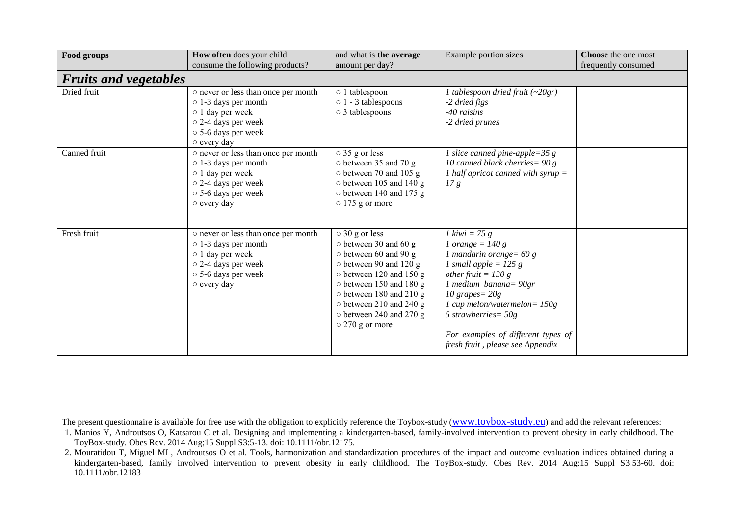| Food groups                  | How often does your child<br>consume the following products?                                                                                             | and what is the average<br>amount per day?                                                                                                                                                                                                                                                           | Example portion sizes                                                                                                                                                                                                                                                                                                        | <b>Choose</b> the one most<br>frequently consumed |
|------------------------------|----------------------------------------------------------------------------------------------------------------------------------------------------------|------------------------------------------------------------------------------------------------------------------------------------------------------------------------------------------------------------------------------------------------------------------------------------------------------|------------------------------------------------------------------------------------------------------------------------------------------------------------------------------------------------------------------------------------------------------------------------------------------------------------------------------|---------------------------------------------------|
| <b>Fruits and vegetables</b> |                                                                                                                                                          |                                                                                                                                                                                                                                                                                                      |                                                                                                                                                                                                                                                                                                                              |                                                   |
| Dried fruit                  | o never or less than once per month<br>$\circ$ 1-3 days per month<br>o 1 day per week<br>o 2-4 days per week<br>○ 5-6 days per week<br>$\circ$ every day | o 1 tablespoon<br>$\circ$ 1 - 3 tablespoons<br>○ 3 tablespoons                                                                                                                                                                                                                                       | 1 tablespoon dried fruit $(-20gr)$<br>-2 dried figs<br>-40 raisins<br>-2 dried prunes                                                                                                                                                                                                                                        |                                                   |
| Canned fruit                 | o never or less than once per month<br>$\circ$ 1-3 days per month<br>o 1 day per week<br>o 2-4 days per week<br>○ 5-6 days per week<br>o every day       | $\circ$ 35 g or less<br>o between 35 and 70 g<br>o between 70 and 105 g<br>$\circ$ between 105 and 140 g<br>$\circ$ between 140 and 175 g<br>$\circ$ 175 g or more                                                                                                                                   | 1 slice canned pine-apple=35 $g$<br>10 canned black cherries = $90 g$<br>1 half apricot canned with syrup $=$<br>17g                                                                                                                                                                                                         |                                                   |
| Fresh fruit                  | o never or less than once per month<br>o 1-3 days per month<br>$\circ$ 1 day per week<br>o 2-4 days per week<br>○ 5-6 days per week<br>o every day       | $\circ$ 30 g or less<br>$\circ$ between 30 and 60 g<br>$\circ$ between 60 and 90 g<br>o between 90 and 120 g<br>$\circ$ between 120 and 150 g<br>o between 150 and 180 g<br>$\circ$ between 180 and 210 g<br>$\circ$ between 210 and 240 g<br>$\circ$ between 240 and 270 g<br>$\circ$ 270 g or more | 1 kiwi = 75 g<br>$1 \text{ orange} = 140 \text{ g}$<br>1 mandarin orange= $60 g$<br>1 small apple = $125 g$<br>other fruit = $130 g$<br>1 medium banana= $90gr$<br>$10$ grapes = $20g$<br>1 cup melon/watermelon= $150g$<br>5 strawberries = $50g$<br>For examples of different types of<br>fresh fruit, please see Appendix |                                                   |

The present questionnaire is available for free use with the obligation to explicitly reference the Toybox-study (www.toybox-study.eu) and add the relevant references:

<sup>1.</sup> Manios Y, Androutsos O, Katsarou C et al. Designing and implementing a kindergarten-based, family-involved intervention to prevent obesity in early childhood. The ToyBox-study. Obes Rev. 2014 Aug;15 Suppl S3:5-13. doi: 10.1111/obr.12175.

<sup>2.</sup> Mouratidou T, Miguel ML, Androutsos O et al. Tools, harmonization and standardization procedures of the impact and outcome evaluation indices obtained during a kindergarten-based, family involved intervention to prevent obesity in early childhood. The ToyBox-study. Obes Rev. 2014 Aug;15 Suppl S3:53-60. doi: 10.1111/obr.12183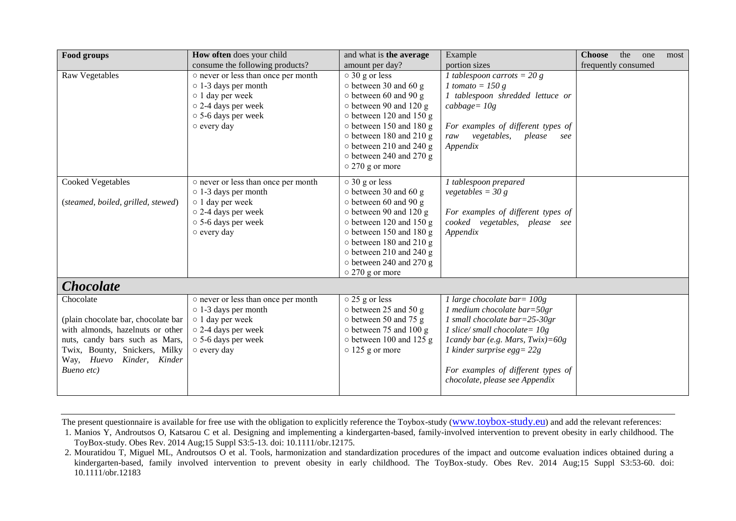| Food groups                                                                                                                                                                                           | How often does your child                                                                                                                                      | and what is the average                                                                                                                                                                                                                                                                              | Example                                                                                                                                                                                                                                                                             | <b>Choose</b><br>the<br>one<br>most |
|-------------------------------------------------------------------------------------------------------------------------------------------------------------------------------------------------------|----------------------------------------------------------------------------------------------------------------------------------------------------------------|------------------------------------------------------------------------------------------------------------------------------------------------------------------------------------------------------------------------------------------------------------------------------------------------------|-------------------------------------------------------------------------------------------------------------------------------------------------------------------------------------------------------------------------------------------------------------------------------------|-------------------------------------|
|                                                                                                                                                                                                       | consume the following products?                                                                                                                                | amount per day?                                                                                                                                                                                                                                                                                      | portion sizes                                                                                                                                                                                                                                                                       | frequently consumed                 |
| Raw Vegetables                                                                                                                                                                                        | o never or less than once per month<br>$\circ$ 1-3 days per month<br>o 1 day per week<br>o 2-4 days per week<br>○ 5-6 days per week<br>o every day             | $\circ$ 30 g or less<br>$\circ$ between 30 and 60 g<br>$\circ$ between 60 and 90 g<br>o between 90 and 120 g<br>$\circ$ between 120 and 150 g<br>o between 150 and 180 g<br>$\circ$ between 180 and 210 g<br>$\circ$ between 210 and 240 g<br>$\circ$ between 240 and 270 g<br>$\circ$ 270 g or more | 1 tablespoon carrots = $20 g$<br>1 tomato = $150 g$<br>1 tablespoon shredded lettuce or<br>$cabbage = 10g$<br>For examples of different types of<br>raw vegetables,<br>please<br>see<br>Appendix                                                                                    |                                     |
| <b>Cooked Vegetables</b><br>(steamed, boiled, grilled, stewed)                                                                                                                                        | o never or less than once per month<br>$\circ$ 1-3 days per month<br>o 1 day per week<br>o 2-4 days per week<br>○ 5-6 days per week                            | $\circ$ 30 g or less<br>$\circ$ between 30 and 60 g<br>$\circ$ between 60 and 90 g<br>o between 90 and 120 g<br>o between 120 and 150 g                                                                                                                                                              | 1 tablespoon prepared<br>vegetables = $30 g$<br>For examples of different types of<br>cooked vegetables, please see                                                                                                                                                                 |                                     |
|                                                                                                                                                                                                       | o every day                                                                                                                                                    | o between 150 and 180 g<br>$\circ$ between 180 and 210 g<br>$\circ$ between 210 and 240 g<br>o between 240 and 270 g<br>$\circ$ 270 g or more                                                                                                                                                        | Appendix                                                                                                                                                                                                                                                                            |                                     |
| <b>Chocolate</b>                                                                                                                                                                                      |                                                                                                                                                                |                                                                                                                                                                                                                                                                                                      |                                                                                                                                                                                                                                                                                     |                                     |
| Chocolate<br>(plain chocolate bar, chocolate bar<br>with almonds, hazelnuts or other<br>nuts, candy bars such as Mars,<br>Twix, Bounty, Snickers, Milky<br>Way, Huevo<br>Kinder, Kinder<br>Bueno etc) | o never or less than once per month<br>$\circ$ 1-3 days per month<br>$\circ$ 1 day per week<br>$\circ$ 2-4 days per week<br>○ 5-6 days per week<br>o every day | $\circ$ 25 g or less<br>o between 25 and 50 g<br>o between 50 and 75 g<br>$\circ$ between 75 and 100 g<br>$\circ$ between 100 and 125 g<br>$\circ$ 125 g or more                                                                                                                                     | 1 large chocolate bar= 100g<br>1 medium chocolate bar= $50gr$<br>1 small chocolate bar= $25-30gr$<br>1 slice/small chocolate= $10g$<br>1candy bar (e.g. Mars, Twix)= $60g$<br>1 kinder surprise egg = $22g$<br>For examples of different types of<br>chocolate, please see Appendix |                                     |

1. Manios Y, Androutsos O, Katsarou C et al. Designing and implementing a kindergarten-based, family-involved intervention to prevent obesity in early childhood. The ToyBox-study. Obes Rev. 2014 Aug;15 Suppl S3:5-13. doi: 10.1111/obr.12175.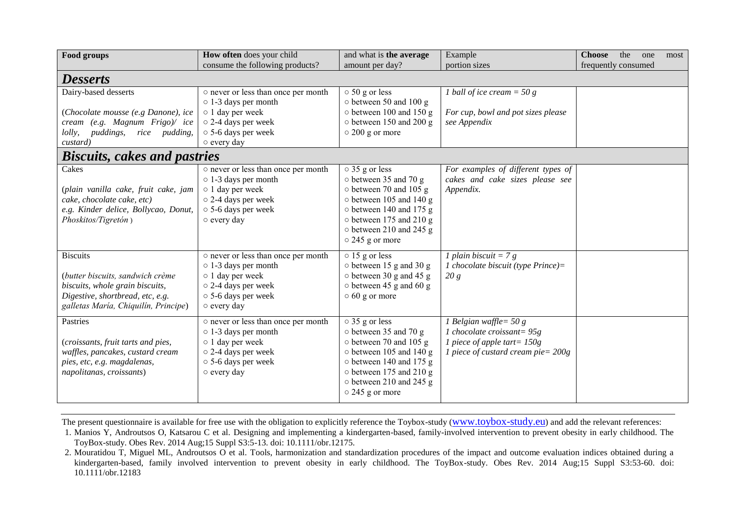| Food groups                                                        | How often does your child                                                                   | and what is the average                                                            | Example                                                                            | <b>Choose</b><br>the<br>one<br>most |
|--------------------------------------------------------------------|---------------------------------------------------------------------------------------------|------------------------------------------------------------------------------------|------------------------------------------------------------------------------------|-------------------------------------|
|                                                                    | consume the following products?                                                             | amount per day?                                                                    | portion sizes                                                                      | frequently consumed                 |
| <b>Desserts</b>                                                    |                                                                                             |                                                                                    |                                                                                    |                                     |
| Dairy-based desserts                                               | o never or less than once per month<br>$\circ$ 1-3 days per month                           | $\circ$ 50 g or less<br>o between 50 and 100 g                                     | 1 ball of ice cream = 50 g                                                         |                                     |
| (Chocolate mousse (e.g Danone), ice                                | o 1 day per week                                                                            | o between 100 and 150 g                                                            | For cup, bowl and pot sizes please                                                 |                                     |
| cream (e.g. Magnum Frigo)/ ice                                     | o 2-4 days per week                                                                         | $\circ$ between 150 and 200 g                                                      | see Appendix                                                                       |                                     |
| puddings,<br><i>lolly,</i><br>rice pudding,                        | ○ 5-6 days per week                                                                         | $\circ$ 200 g or more                                                              |                                                                                    |                                     |
| custard)                                                           | o every day                                                                                 |                                                                                    |                                                                                    |                                     |
| <b>Biscuits, cakes and pastries</b>                                |                                                                                             |                                                                                    |                                                                                    |                                     |
| Cakes<br>(plain vanilla cake, fruit cake, jam                      | o never or less than once per month<br>$\circ$ 1-3 days per month<br>$\circ$ 1 day per week | $\overline{\circ}$ 35 g or less<br>o between 35 and 70 g<br>o between 70 and 105 g | For examples of different types of<br>cakes and cake sizes please see<br>Appendix. |                                     |
| cake, chocolate cake, etc)<br>e.g. Kinder delice, Bollycao, Donut, | $\circ$ 2-4 days per week<br>○ 5-6 days per week                                            | $\circ$ between 105 and 140 g<br>o between 140 and 175 g                           |                                                                                    |                                     |
| Phoskitos/Tigretón)                                                | o every day                                                                                 | $\circ$ between 175 and 210 g<br>o between 210 and 245 g<br>$\circ$ 245 g or more  |                                                                                    |                                     |
| <b>Biscuits</b>                                                    | o never or less than once per month<br>$\circ$ 1-3 days per month                           | $\circ$ 15 g or less<br>$\circ$ between 15 g and 30 g                              | 1 plain biscuit = $7 g$<br>1 chocolate biscuit (type Prince)=                      |                                     |
| (butter biscuits, sandwich crème                                   | o 1 day per week                                                                            | $\circ$ between 30 g and 45 g                                                      | 20 g                                                                               |                                     |
| biscuits, whole grain biscuits,                                    | o 2-4 days per week                                                                         | $\circ$ between 45 g and 60 g                                                      |                                                                                    |                                     |
| Digestive, shortbread, etc, e.g.                                   | ○ 5-6 days per week                                                                         | $\circ$ 60 g or more                                                               |                                                                                    |                                     |
| galletas María, Chiquilín, Principe)                               | $\circ$ every day                                                                           |                                                                                    |                                                                                    |                                     |
| Pastries                                                           | o never or less than once per month<br>$\circ$ 1-3 days per month                           | $\circ$ 35 g or less<br>o between 35 and 70 g                                      | 1 Belgian waffle= $50 g$<br>1 chocolate croissant= $95g$                           |                                     |
| (croissants, fruit tarts and pies,                                 | $\circ$ 1 day per week                                                                      | o between 70 and 105 g                                                             | 1 piece of apple tart= $150g$                                                      |                                     |
| waffles, pancakes, custard cream<br>pies, etc, e.g. magdalenas,    | o 2-4 days per week<br>○ 5-6 days per week                                                  | o between 105 and 140 g<br>o between 140 and 175 g                                 | 1 piece of custard cream pie = $200g$                                              |                                     |
| napolitanas, croissants)                                           | $\circ$ every day                                                                           | $\circ$ between 175 and 210 g                                                      |                                                                                    |                                     |
|                                                                    |                                                                                             | $\circ$ between 210 and 245 g                                                      |                                                                                    |                                     |
|                                                                    |                                                                                             | $\circ$ 245 g or more                                                              |                                                                                    |                                     |
|                                                                    |                                                                                             |                                                                                    |                                                                                    |                                     |

1. Manios Y, Androutsos O, Katsarou C et al. Designing and implementing a kindergarten-based, family-involved intervention to prevent obesity in early childhood. The ToyBox-study. Obes Rev. 2014 Aug;15 Suppl S3:5-13. doi: 10.1111/obr.12175.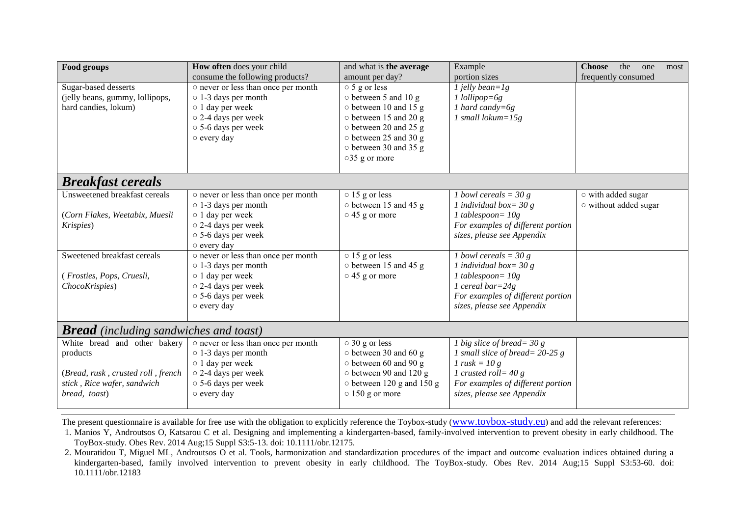| Food groups                                   | How often does your child                          | and what is the average                       | Example                                             | <b>Choose</b><br>the<br>one<br>most |  |
|-----------------------------------------------|----------------------------------------------------|-----------------------------------------------|-----------------------------------------------------|-------------------------------------|--|
|                                               | consume the following products?                    | amount per day?                               | portion sizes                                       | frequently consumed                 |  |
| Sugar-based desserts                          | o never or less than once per month                | $\circ$ 5 g or less                           | $1$ jelly bean= $1g$                                |                                     |  |
| (jelly beans, gummy, lollipops,               | $\circ$ 1-3 days per month                         | $\circ$ between 5 and 10 g                    | $1$ lollipop=6g                                     |                                     |  |
| hard candies, lokum)                          | o 1 day per week                                   | o between 10 and 15 g                         | 1 hard candy= $6g$                                  |                                     |  |
|                                               | o 2-4 days per week                                | o between 15 and 20 g                         | 1 small lokum= $15g$                                |                                     |  |
|                                               | ○ 5-6 days per week                                | $\circ$ between 20 and 25 g                   |                                                     |                                     |  |
|                                               | o every day                                        | o between 25 and 30 g                         |                                                     |                                     |  |
|                                               |                                                    | o between 30 and 35 g                         |                                                     |                                     |  |
|                                               |                                                    | ○35 g or more                                 |                                                     |                                     |  |
| <b>Breakfast cereals</b>                      |                                                    |                                               |                                                     |                                     |  |
|                                               |                                                    |                                               |                                                     |                                     |  |
| Unsweetened breakfast cereals                 | o never or less than once per month                | $\circ$ 15 g or less                          | 1 bowl cereals = $30 g$                             | o with added sugar                  |  |
|                                               | $\circ$ 1-3 days per month                         | o between 15 and 45 g                         | 1 individual box= $30 g$                            | o without added sugar               |  |
| (Corn Flakes, Weetabix, Muesli                | o 1 day per week                                   | $\circ$ 45 g or more                          | $1$ tablespoon= $10g$                               |                                     |  |
| Krispies)                                     | o 2-4 days per week                                |                                               | For examples of different portion                   |                                     |  |
|                                               | ○ 5-6 days per week                                |                                               | sizes, please see Appendix                          |                                     |  |
| Sweetened breakfast cereals                   | o every day<br>o never or less than once per month |                                               |                                                     |                                     |  |
|                                               |                                                    | $\circ$ 15 g or less<br>o between 15 and 45 g | 1 bowl cereals = $30 g$<br>1 individual box= $30 g$ |                                     |  |
|                                               | $\circ$ 1-3 days per month                         |                                               |                                                     |                                     |  |
| (Frosties, Pops, Cruesli,                     | o 1 day per week<br>o 2-4 days per week            | $\circ$ 45 g or more                          | $1$ tablespoon= $10g$<br>1 cereal bar= $24g$        |                                     |  |
| ChocoKrispies)                                |                                                    |                                               |                                                     |                                     |  |
|                                               | ○ 5-6 days per week                                |                                               | For examples of different portion                   |                                     |  |
|                                               | $\circ$ every day                                  |                                               | sizes, please see Appendix                          |                                     |  |
| <b>Bread</b> (including sandwiches and toast) |                                                    |                                               |                                                     |                                     |  |
| White bread and other bakery                  | o never or less than once per month                | $\circ$ 30 g or less                          | 1 big slice of bread = $30 g$                       |                                     |  |
| products                                      | $\circ$ 1-3 days per month                         | $\circ$ between 30 and 60 g                   | 1 small slice of bread = $20-25$ g                  |                                     |  |
|                                               | o 1 day per week                                   | $\circ$ between 60 and 90 g                   | 1 rusk = $10 g$                                     |                                     |  |
| (Bread, rusk, crusted roll, french            | o 2-4 days per week                                | o between 90 and 120 g                        | 1 crusted roll= $40 g$                              |                                     |  |
| stick, Rice wafer, sandwich                   | $\circ$ 5-6 days per week                          | $\circ$ between 120 g and 150 g               | For examples of different portion                   |                                     |  |
| bread, toast)                                 | o every day                                        | $\circ$ 150 g or more                         | sizes, please see Appendix                          |                                     |  |
|                                               |                                                    |                                               |                                                     |                                     |  |

1. Manios Y, Androutsos O, Katsarou C et al. Designing and implementing a kindergarten-based, family-involved intervention to prevent obesity in early childhood. The ToyBox-study. Obes Rev. 2014 Aug;15 Suppl S3:5-13. doi: 10.1111/obr.12175.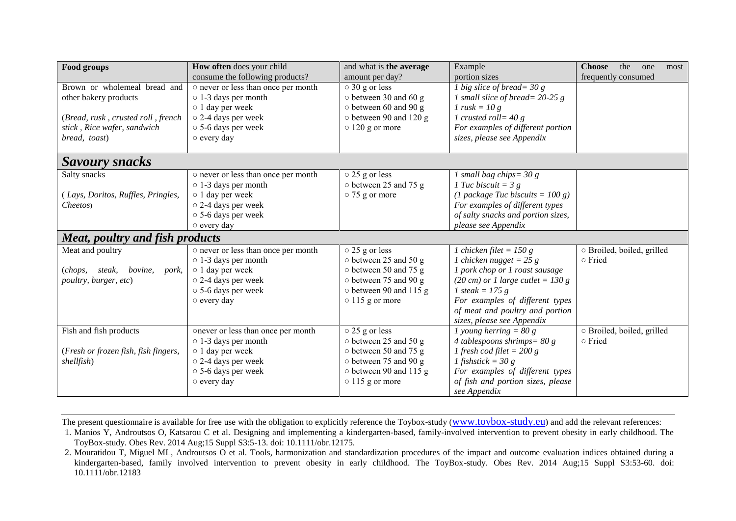| Food groups                                              | How often does your child           | and what is the average      | Example                                                | <b>Choose</b><br>the<br>one<br>most |  |
|----------------------------------------------------------|-------------------------------------|------------------------------|--------------------------------------------------------|-------------------------------------|--|
|                                                          | consume the following products?     | amount per day?              | portion sizes                                          | frequently consumed                 |  |
| Brown or wholemeal bread and                             | o never or less than once per month | $\circ$ 30 g or less         | 1 big slice of bread= $30 g$                           |                                     |  |
| other bakery products                                    | $\circ$ 1-3 days per month          | $\circ$ between 30 and 60 g  | 1 small slice of bread = $20-25$ g                     |                                     |  |
|                                                          | o 1 day per week                    | $\circ$ between 60 and 90 g  | 1 rusk = $10 g$                                        |                                     |  |
| (Bread, rusk, crusted roll, french                       | o 2-4 days per week                 | $\circ$ between 90 and 120 g | 1 crusted roll = $40 g$                                |                                     |  |
| stick, Rice wafer, sandwich                              | $\circ$ 5-6 days per week           | $\circ$ 120 g or more        | For examples of different portion                      |                                     |  |
| bread, toast)                                            | o every day                         |                              | sizes, please see Appendix                             |                                     |  |
|                                                          |                                     |                              |                                                        |                                     |  |
| <b>Savoury snacks</b>                                    |                                     |                              |                                                        |                                     |  |
| Salty snacks                                             | o never or less than once per month | $\circ$ 25 g or less         | 1 small bag chips= $30 g$                              |                                     |  |
|                                                          | $\circ$ 1-3 days per month          | o between 25 and 75 g        | 1 Tuc biscuit = $3 g$                                  |                                     |  |
| (Lays, Doritos, Ruffles, Pringles,                       | $\circ$ 1 day per week              | $\circ$ 75 g or more         | (1 package Tuc biscuits = $100 g$ )                    |                                     |  |
| Cheetos)                                                 | o 2-4 days per week                 |                              | For examples of different types                        |                                     |  |
|                                                          | ○ 5-6 days per week                 |                              | of salty snacks and portion sizes,                     |                                     |  |
|                                                          | $\circ$ every day                   |                              | please see Appendix                                    |                                     |  |
| <b>Meat, poultry and fish products</b>                   |                                     |                              |                                                        |                                     |  |
| Meat and poultry                                         | o never or less than once per month | $\circ$ 25 g or less         | 1 chicken filet = 150 g                                | o Broiled, boiled, grilled          |  |
|                                                          | $\circ$ 1-3 days per month          | o between 25 and 50 g        | 1 chicken nugget = $25 g$                              | o Fried                             |  |
| ( <i>chops</i> , <i>steak</i> , <i>bovine</i> ,<br>pork, | o 1 day per week                    | $\circ$ between 50 and 75 g  | 1 pork chop or 1 roast sausage                         |                                     |  |
| poultry, burger, etc)                                    | o 2-4 days per week                 | o between 75 and 90 g        | (20 cm) or 1 large cutlet = $130 g$                    |                                     |  |
|                                                          | $\circ$ 5-6 days per week           | o between 90 and 115 g       | 1 steak = $175 g$                                      |                                     |  |
|                                                          | o every day                         | $\circ$ 115 g or more        | For examples of different types                        |                                     |  |
|                                                          |                                     |                              | of meat and poultry and portion                        |                                     |  |
|                                                          |                                     |                              | sizes, please see Appendix                             |                                     |  |
| Fish and fish products                                   | onever or less than once per month  | $\circ$ 25 g or less         | o Broiled, boiled, grilled<br>1 young herring $= 80$ g |                                     |  |
|                                                          | $\circ$ 1-3 days per month          | o between 25 and 50 g        | 4 tablespoons shrimps = $80 g$                         | o Fried                             |  |
| (Fresh or frozen fish, fish fingers,                     | o 1 day per week                    | o between 50 and 75 g        | 1 fresh cod filet = $200 g$                            |                                     |  |
| shellfish)                                               | o 2-4 days per week                 | o between 75 and 90 g        | 1 fishstick = 30 g                                     |                                     |  |
|                                                          | $\circ$ 5-6 days per week           | o between 90 and 115 g       | For examples of different types                        |                                     |  |
|                                                          | $\circ$ every day                   | $\circ$ 115 g or more        | of fish and portion sizes, please                      |                                     |  |
|                                                          |                                     |                              | see Appendix                                           |                                     |  |

1. Manios Y, Androutsos O, Katsarou C et al. Designing and implementing a kindergarten-based, family-involved intervention to prevent obesity in early childhood. The ToyBox-study. Obes Rev. 2014 Aug;15 Suppl S3:5-13. doi: 10.1111/obr.12175.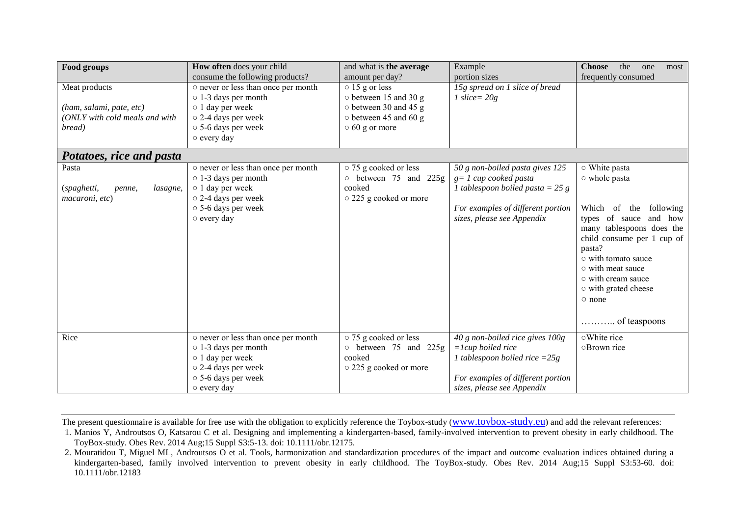| Food groups                                                                           | How often does your child                                                                                                                                                             | and what is the average                                                                                                                                | Example                                                                                                                                                              | <b>Choose</b><br>the<br>one<br>most                                                                                                                                                                                                                                                  |
|---------------------------------------------------------------------------------------|---------------------------------------------------------------------------------------------------------------------------------------------------------------------------------------|--------------------------------------------------------------------------------------------------------------------------------------------------------|----------------------------------------------------------------------------------------------------------------------------------------------------------------------|--------------------------------------------------------------------------------------------------------------------------------------------------------------------------------------------------------------------------------------------------------------------------------------|
| Meat products<br>(ham, salami, pate, etc)<br>(ONLY with cold meals and with<br>bread) | consume the following products?<br>o never or less than once per month<br>$\circ$ 1-3 days per month<br>o 1 day per week<br>o 2-4 days per week<br>○ 5-6 days per week<br>o every day | amount per day?<br>$\circ$ 15 g or less<br>$\circ$ between 15 and 30 g<br>o between 30 and 45 g<br>$\circ$ between 45 and 60 g<br>$\circ$ 60 g or more | portion sizes<br>15g spread on 1 slice of bread<br>1 slice = $20g$                                                                                                   | frequently consumed                                                                                                                                                                                                                                                                  |
| Potatoes, rice and pasta                                                              |                                                                                                                                                                                       |                                                                                                                                                        |                                                                                                                                                                      |                                                                                                                                                                                                                                                                                      |
| Pasta<br>(spaghetti,<br>lasagne,<br>penne,<br>macaroni, etc)                          | o never or less than once per month<br>$\circ$ 1-3 days per month<br>o 1 day per week<br>o 2-4 days per week<br>○ 5-6 days per week<br>o every day                                    | ○ 75 g cooked or less<br>$\circ$ between 75 and 225g<br>cooked<br>○ 225 g cooked or more                                                               | 50 g non-boiled pasta gives 125<br>$g = 1$ cup cooked pasta<br>1 tablespoon boiled pasta = $25 g$<br>For examples of different portion<br>sizes, please see Appendix | ○ White pasta<br>o whole pasta<br>of the following<br>Which<br>types of sauce and how<br>many tablespoons does the<br>child consume per 1 cup of<br>pasta?<br>○ with tomato sauce<br>o with meat sauce<br>$\circ$ with cream sauce<br>o with grated cheese<br>o none<br>of teaspoons |
| Rice                                                                                  | o never or less than once per month<br>$\circ$ 1-3 days per month                                                                                                                     | o 75 g cooked or less<br>o between 75 and 225g                                                                                                         | 40 g non-boiled rice gives 100g<br>$=$ lcup boiled rice                                                                                                              | o White rice<br>○ Brown rice                                                                                                                                                                                                                                                         |
|                                                                                       | $\circ$ 1 day per week<br>o 2-4 days per week<br>○ 5-6 days per week<br>$\circ$ every day                                                                                             | cooked<br>○ 225 g cooked or more                                                                                                                       | 1 tablespoon boiled rice $=25g$<br>For examples of different portion<br>sizes, please see Appendix                                                                   |                                                                                                                                                                                                                                                                                      |

1. Manios Y, Androutsos O, Katsarou C et al. Designing and implementing a kindergarten-based, family-involved intervention to prevent obesity in early childhood. The ToyBox-study. Obes Rev. 2014 Aug;15 Suppl S3:5-13. doi: 10.1111/obr.12175.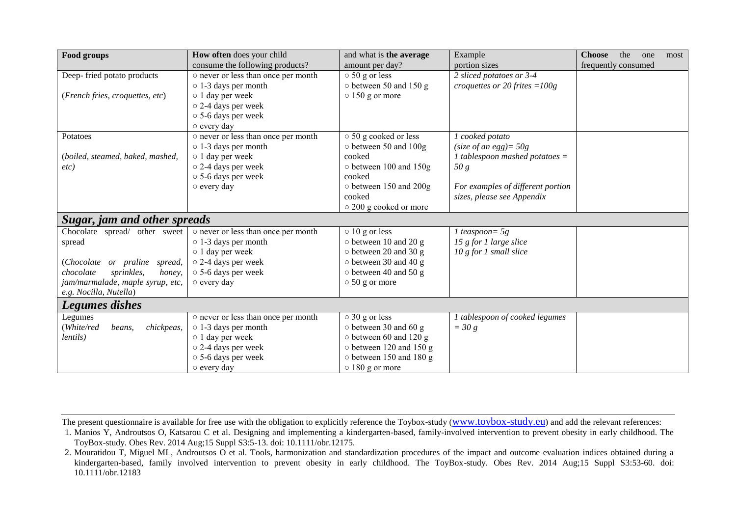| Food groups                        | How often does your child           | and what is the average       | Example                           | <b>Choose</b><br>the<br>one<br>most |
|------------------------------------|-------------------------------------|-------------------------------|-----------------------------------|-------------------------------------|
|                                    | consume the following products?     | amount per day?               | portion sizes                     | frequently consumed                 |
| Deep-fried potato products         | o never or less than once per month | $\circ$ 50 g or less          | 2 sliced potatoes or 3-4          |                                     |
|                                    | $\circ$ 1-3 days per month          | $\circ$ between 50 and 150 g  | croquettes or 20 frites = $100g$  |                                     |
| (French fries, croquettes, etc)    | o 1 day per week                    | $\circ$ 150 g or more         |                                   |                                     |
|                                    | o 2-4 days per week                 |                               |                                   |                                     |
|                                    | ○ 5-6 days per week                 |                               |                                   |                                     |
|                                    | o every day                         |                               |                                   |                                     |
| Potatoes                           | o never or less than once per month | ○ 50 g cooked or less         | 1 cooked potato                   |                                     |
|                                    | $\circ$ 1-3 days per month          | $\circ$ between 50 and 100g   | (size of an egg) = $50g$          |                                     |
| (boiled, steamed, baked, mashed,   | $\circ$ 1 day per week              | cooked                        | 1 tablespoon mashed potatoes $=$  |                                     |
| etc)                               | $\circ$ 2-4 days per week           | o between 100 and 150g        | 50 g                              |                                     |
|                                    | ○ 5-6 days per week                 | cooked                        |                                   |                                     |
|                                    | $\circ$ every day                   | o between 150 and 200g        | For examples of different portion |                                     |
|                                    |                                     | cooked                        | sizes, please see Appendix        |                                     |
|                                    |                                     | o 200 g cooked or more        |                                   |                                     |
| Sugar, jam and other spreads       |                                     |                               |                                   |                                     |
| Chocolate spread/ other sweet      | o never or less than once per month | $\circ$ 10 g or less          | 1 teaspoon = $5g$                 |                                     |
| spread                             | $\circ$ 1-3 days per month          | $\circ$ between 10 and 20 g   | 15 g for 1 large slice            |                                     |
|                                    | $\circ$ 1 day per week              | $\circ$ between 20 and 30 g   | $10 g$ for 1 small slice          |                                     |
| (Chocolate or praline spread,      | $\circ$ 2-4 days per week           | $\circ$ between 30 and 40 g   |                                   |                                     |
| chocolate<br>sprinkles,<br>honey,  | $\circ$ 5-6 days per week           | $\circ$ between 40 and 50 g   |                                   |                                     |
| jam/marmalade, maple syrup, etc,   | o every day                         | $\circ$ 50 g or more          |                                   |                                     |
| e.g. Nocilla, Nutella)             |                                     |                               |                                   |                                     |
| <b>Legumes dishes</b>              |                                     |                               |                                   |                                     |
| Legumes                            | o never or less than once per month | $\circ$ 30 g or less          | 1 tablespoon of cooked legumes    |                                     |
| chickpeas,<br>(White/red<br>beans, | $\circ$ 1-3 days per month          | o between 30 and 60 g         | $=$ 30 g                          |                                     |
| lentils)                           | o 1 day per week                    | $\circ$ between 60 and 120 g  |                                   |                                     |
|                                    | o 2-4 days per week                 | $\circ$ between 120 and 150 g |                                   |                                     |
|                                    | ○ 5-6 days per week                 | $\circ$ between 150 and 180 g |                                   |                                     |
|                                    | o every day                         | $\circ$ 180 g or more         |                                   |                                     |

1. Manios Y, Androutsos O, Katsarou C et al. Designing and implementing a kindergarten-based, family-involved intervention to prevent obesity in early childhood. The ToyBox-study. Obes Rev. 2014 Aug;15 Suppl S3:5-13. doi: 10.1111/obr.12175.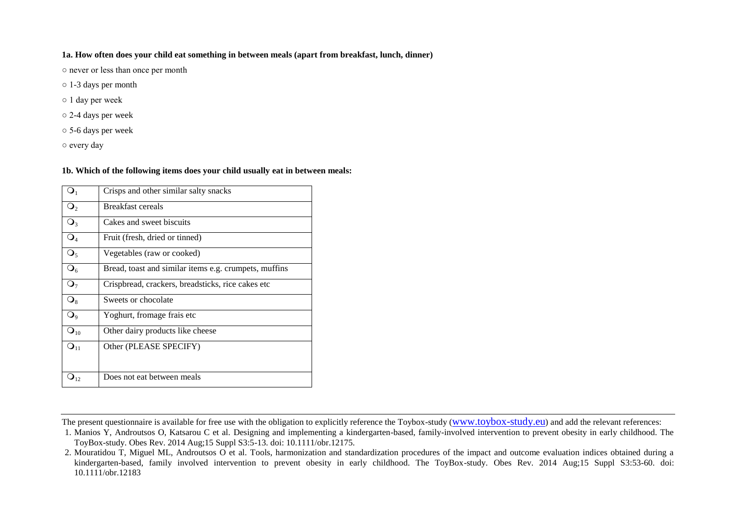#### **1a. How often does your child eat something in between meals (apart from breakfast, lunch, dinner)**

○ never or less than once per month

- 1-3 days per month
- 1 day per week
- 2-4 days per week
- 5-6 days per week
- every day

#### **1b. Which of the following items does your child usually eat in between meals:**

|                   | Crisps and other similar salty snacks                 |
|-------------------|-------------------------------------------------------|
| $\mathbf{Q}_{2}$  | <b>Breakfast cereals</b>                              |
| $\mathsf{Q}_3$    | Cakes and sweet biscuits                              |
| $\mathsf{O}_4$    | Fruit (fresh, dried or tinned)                        |
| $\mathsf{Q}_5$    | Vegetables (raw or cooked)                            |
| $\mathsf{Q}_6$    | Bread, toast and similar items e.g. crumpets, muffins |
| $\mathbf{Q}_7$    | Crispbread, crackers, breadsticks, rice cakes etc     |
| $\mathsf{Q}_8$    | Sweets or chocolate                                   |
| $\mathsf{O}_9$    | Yoghurt, fromage frais etc                            |
| $\mathbf{Q}_{10}$ | Other dairy products like cheese                      |
| O <sub>11</sub>   | Other (PLEASE SPECIFY)                                |
|                   |                                                       |
| $\mathbf{J}_{12}$ | Does not eat between meals                            |

<sup>1.</sup> Manios Y, Androutsos O, Katsarou C et al. Designing and implementing a kindergarten-based, family-involved intervention to prevent obesity in early childhood. The ToyBox-study. Obes Rev. 2014 Aug;15 Suppl S3:5-13. doi: 10.1111/obr.12175.

<sup>2.</sup> Mouratidou T, Miguel ML, Androutsos O et al. Tools, harmonization and standardization procedures of the impact and outcome evaluation indices obtained during a kindergarten-based, family involved intervention to prevent obesity in early childhood. The ToyBox-study. Obes Rev. 2014 Aug;15 Suppl S3:53-60. doi: 10.1111/obr.12183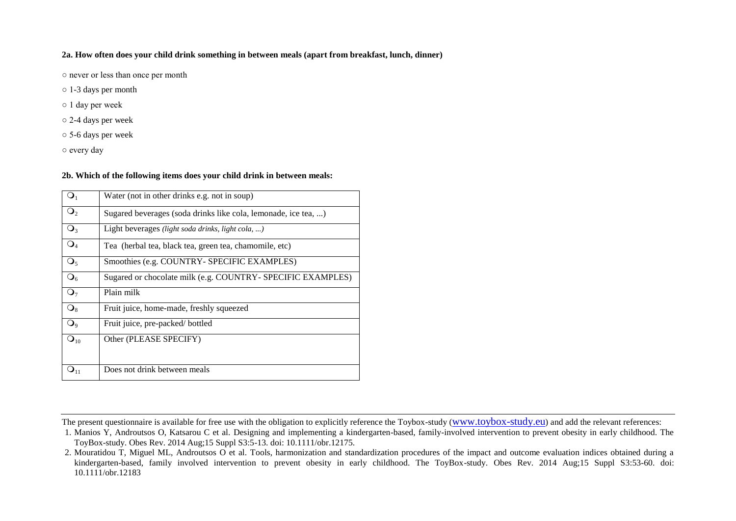#### **2a. How often does your child drink something in between meals (apart from breakfast, lunch, dinner)**

○ never or less than once per month

- 1-3 days per month
- 1 day per week
- 2-4 days per week
- 5-6 days per week

○ every day

#### **2b. Which of the following items does your child drink in between meals:**

| $\mathbf{O}_1$    | Water (not in other drinks e.g. not in soup)                   |
|-------------------|----------------------------------------------------------------|
| $\mathsf{Q}_2$    | Sugared beverages (soda drinks like cola, lemonade, ice tea, ) |
| $\mathsf{Q}_3$    | Light beverages <i>(light soda drinks, light cola, )</i>       |
| $\mathsf{O}_4$    | Tea (herbal tea, black tea, green tea, chamomile, etc)         |
| $\mathsf{Q}_5$    | Smoothies (e.g. COUNTRY- SPECIFIC EXAMPLES)                    |
| $\mathsf{O}_6$    | Sugared or chocolate milk (e.g. COUNTRY- SPECIFIC EXAMPLES)    |
| $\mathbf{Q}_7$    | Plain milk                                                     |
| $\mathsf{Q}_8$    | Fruit juice, home-made, freshly squeezed                       |
| $\mathsf{Q}_{9}$  | Fruit juice, pre-packed/bottled                                |
| $\mathbf{Q}_{10}$ | Other (PLEASE SPECIFY)                                         |
|                   |                                                                |
|                   | Does not drink between meals                                   |

The present questionnaire is available for free use with the obligation to explicitly reference the Toybox-study (www.toybox-study.eu) and add the relevant references:

<sup>1.</sup> Manios Y, Androutsos O, Katsarou C et al. Designing and implementing a kindergarten-based, family-involved intervention to prevent obesity in early childhood. The ToyBox-study. Obes Rev. 2014 Aug;15 Suppl S3:5-13. doi: 10.1111/obr.12175.

<sup>2.</sup> Mouratidou T, Miguel ML, Androutsos O et al. Tools, harmonization and standardization procedures of the impact and outcome evaluation indices obtained during a kindergarten-based, family involved intervention to prevent obesity in early childhood. The ToyBox-study. Obes Rev. 2014 Aug;15 Suppl S3:53-60. doi: 10.1111/obr.12183